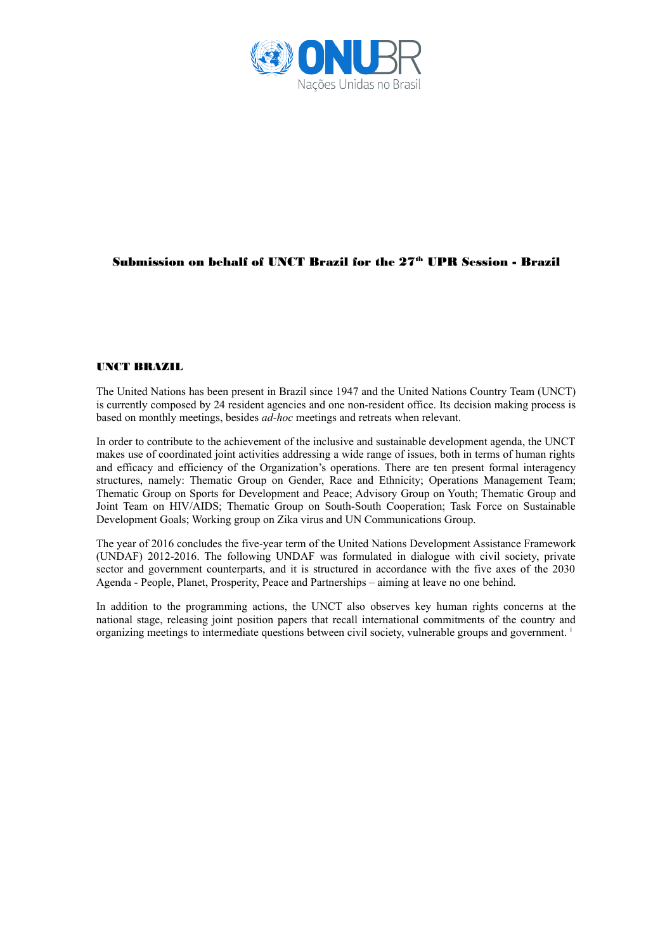

## Submission on behalf of UNCT Brazil for the  $27<sup>th</sup>$  UPR Session - Brazil

## UNCT BRAZIL

The United Nations has been present in Brazil since 1947 and the United Nations Country Team (UNCT) is currently composed by 24 resident agencies and one non-resident office. Its decision making process is based on monthly meetings, besides *ad-hoc* meetings and retreats when relevant.

In order to contribute to the achievement of the inclusive and sustainable development agenda, the UNCT makes use of coordinated joint activities addressing a wide range of issues, both in terms of human rights and efficacy and efficiency of the Organization's operations. There are ten present formal interagency structures, namely: Thematic Group on Gender, Race and Ethnicity; Operations Management Team; Thematic Group on Sports for Development and Peace; Advisory Group on Youth; Thematic Group and Joint Team on HIV/AIDS; Thematic Group on South-South Cooperation; Task Force on Sustainable Development Goals; Working group on Zika virus and UN Communications Group.

The year of 2016 concludes the five-year term of the United Nations Development Assistance Framework (UNDAF) 2012-2016. The following UNDAF was formulated in dialogue with civil society, private sector and government counterparts, and it is structured in accordance with the five axes of the 2030 Agenda - People, Planet, Prosperity, Peace and Partnerships – aiming at leave no one behind.

In addition to the programming actions, the UNCT also observes key human rights concerns at the national stage, releasing joint position papers that recall international commitments of the country and organizing meetings to intermediate questions between civil society, vulnerable groups and government. i